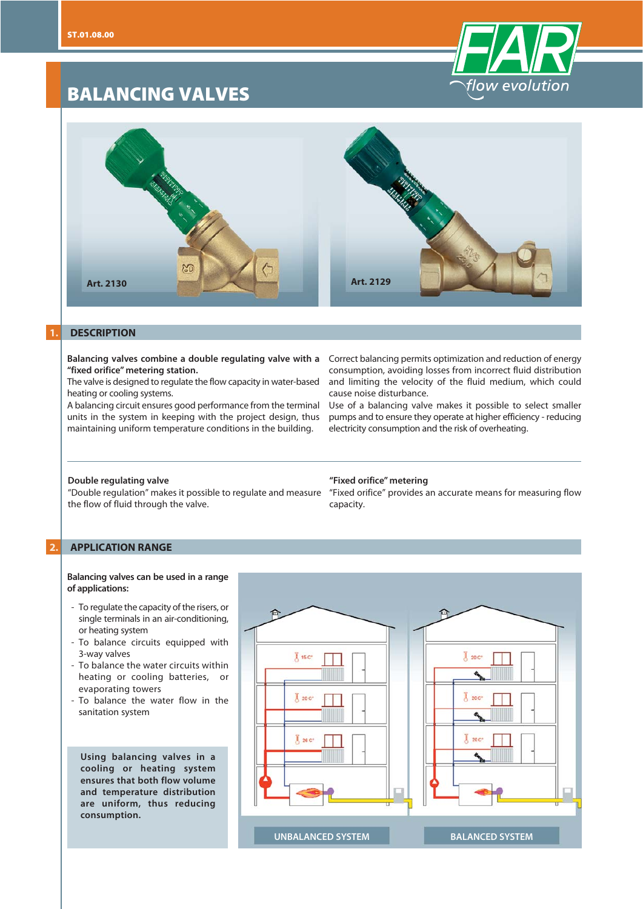# **BALANCING VALVES**





## **1. DESCRIPTION**

**"fixed orifice" metering station.**

The valve is designed to regulate the flow capacity in water-based heating or cooling systems.

A balancing circuit ensures good performance from the terminal units in the system in keeping with the project design, thus maintaining uniform temperature conditions in the building.

Balancing valves combine a double regulating valve with a Correct balancing permits optimization and reduction of energy consumption, avoiding losses from incorrect fluid distribution and limiting the velocity of the fluid medium, which could cause noise disturbance.

> Use of a balancing valve makes it possible to select smaller pumps and to ensure they operate at higher efficiency - reducing electricity consumption and the risk of overheating.

## **Double regulating valve**

the flow of fluid through the valve.

#### **"Fixed orifice" metering**

"Double regulation" makes it possible to regulate and measure "Fixed orifice" provides an accurate means for measuring flow capacity.

## **2. APPLICATION RANGE**

#### **Balancing valves can be used in a range of applications:**

- To regulate the capacity of the risers, or single terminals in an air-conditioning, or heating system
- To balance circuits equipped with 3-way valves
- To balance the water circuits within heating or cooling batteries, or evaporating towers
- To balance the water flow in the sanitation system

**Using balancing valves in a cooling or heating system ensures that both flow volume and temperature distribution are uniform, thus reducing consumption.**

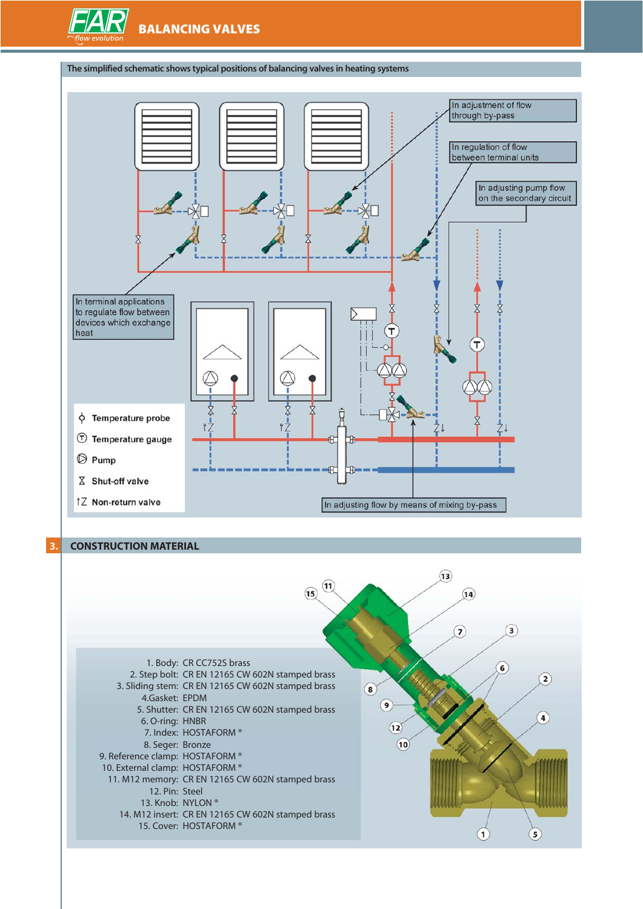

## **The simplified schematic shows typical positions of balancing valves in heating systems**



## **3. CONSTRUCTION MATERIAL**

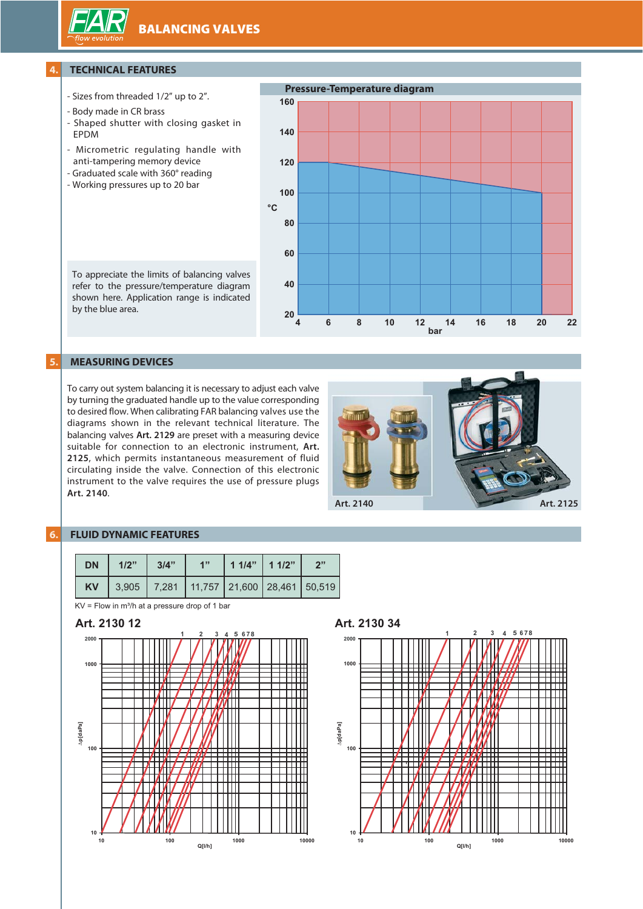**BALANCING VALVES**

## **4. TECHNICAL FEATURES**

- Sizes from threaded 1/2" up to 2".
- Body made in CR brass
- Shaped shutter with closing gasket in EPDM
- Micrometric regulating handle with anti-tampering memory device
- Graduated scale with 360° reading
- Working pressures up to 20 bar



To appreciate the limits of balancing valves refer to the pressure/temperature diagram shown here. Application range is indicated by the blue area.

# **5. MEASURING DEVICES**

To carry out system balancing it is necessary to adjust each valve by turning the graduated handle up to the value corresponding to desired flow. When calibrating FAR balancing valves use the diagrams shown in the relevant technical literature. The balancing valves **Art. 2129** are preset with a measuring device suitable for connection to an electronic instrument, **Art. 2125**, which permits instantaneous measurement of fluid circulating inside the valve. Connection of this electronic instrument to the valve requires the use of pressure plugs **Art. 2140**.



## **6. FLUID DYNAMIC FEATURES**

| <b>DN</b> | 1/2" | 3/4" | 411 | $11/4"$ 1 1/2" | 2"                                                |
|-----------|------|------|-----|----------------|---------------------------------------------------|
| <b>KV</b> |      |      |     |                | 3,905   7,281   11,757   21,600   28,461   50,519 |